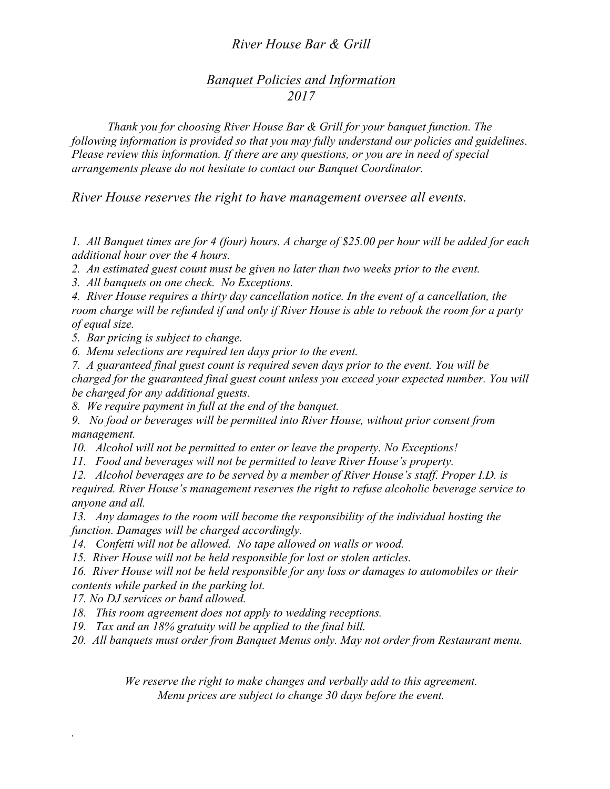# *River House Bar & Grill*

## *Banquet Policies and Information 2017*

*Thank you for choosing River House Bar & Grill for your banquet function. The following information is provided so that you may fully understand our policies and guidelines. Please review this information. If there are any questions, or you are in need of special arrangements please do not hesitate to contact our Banquet Coordinator.*

*River House reserves the right to have management oversee all events.*

*1. All Banquet times are for 4 (four) hours. A charge of \$25.00 per hour will be added for each additional hour over the 4 hours.*

*2. An estimated guest count must be given no later than two weeks prior to the event.*

*3. All banquets on one check. No Exceptions.*

*4. River House requires a thirty day cancellation notice. In the event of a cancellation, the room charge will be refunded if and only if River House is able to rebook the room for a party of equal size.*

*5. Bar pricing is subject to change.*

*6. Menu selections are required ten days prior to the event.*

*7. A guaranteed final guest count is required seven days prior to the event. You will be charged for the guaranteed final guest count unless you exceed your expected number. You will be charged for any additional guests.*

*8. We require payment in full at the end of the banquet.*

*9. No food or beverages will be permitted into River House, without prior consent from management.*

*10. Alcohol will not be permitted to enter or leave the property. No Exceptions!*

*11. Food and beverages will not be permitted to leave River House's property.*

*12. Alcohol beverages are to be served by a member of River House's staff. Proper I.D. is* 

*required. River House's management reserves the right to refuse alcoholic beverage service to anyone and all.*

*13. Any damages to the room will become the responsibility of the individual hosting the function. Damages will be charged accordingly.*

*14. Confetti will not be allowed. No tape allowed on walls or wood.*

*15. River House will not be held responsible for lost or stolen articles.*

*16. River House will not be held responsible for any loss or damages to automobiles or their contents while parked in the parking lot.*

*17. No DJ services or band allowed.*

*.*

*18. This room agreement does not apply to wedding receptions.*

*19. Tax and an 18% gratuity will be applied to the final bill.*

*20. All banquets must order from Banquet Menus only. May not order from Restaurant menu.*

*We reserve the right to make changes and verbally add to this agreement. Menu prices are subject to change 30 days before the event.*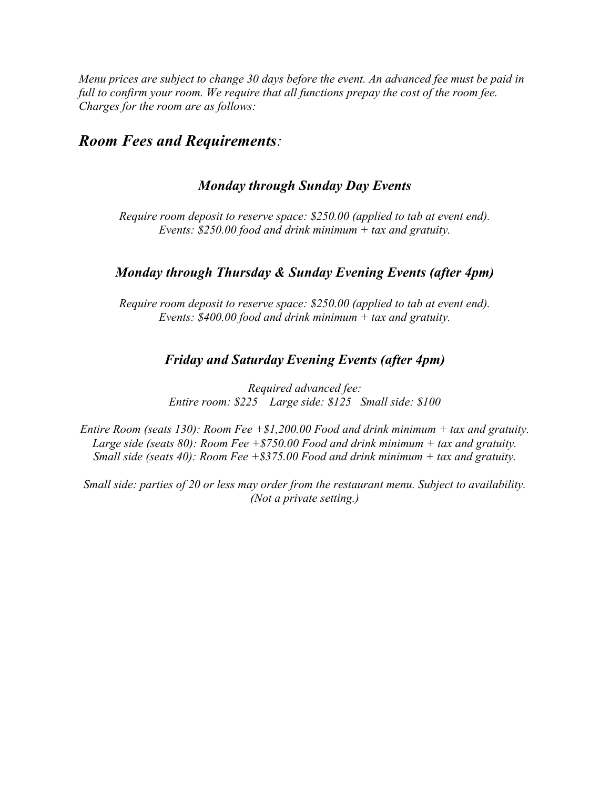*Menu prices are subject to change 30 days before the event. An advanced fee must be paid in full to confirm your room. We require that all functions prepay the cost of the room fee. Charges for the room are as follows:*

# *Room Fees and Requirements:*

### *Monday through Sunday Day Events*

*Require room deposit to reserve space: \$250.00 (applied to tab at event end). Events: \$250.00 food and drink minimum + tax and gratuity.*

#### *Monday through Thursday & Sunday Evening Events (after 4pm)*

*Require room deposit to reserve space: \$250.00 (applied to tab at event end). Events: \$400.00 food and drink minimum + tax and gratuity.*

#### *Friday and Saturday Evening Events (after 4pm)*

*Required advanced fee: Entire room: \$225 Large side: \$125 Small side: \$100*

*Entire Room (seats 130): Room Fee +\$1,200.00 Food and drink minimum + tax and gratuity. Large side (seats 80): Room Fee +\$750.00 Food and drink minimum + tax and gratuity. Small side (seats 40): Room Fee +\$375.00 Food and drink minimum + tax and gratuity.*

*Small side: parties of 20 or less may order from the restaurant menu. Subject to availability. (Not a private setting.)*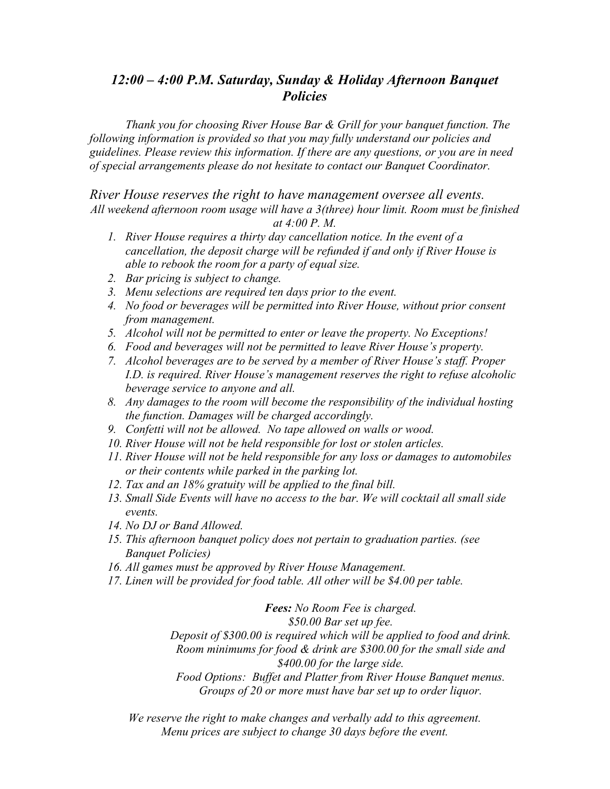## *12:00 – 4:00 P.M. Saturday, Sunday & Holiday Afternoon Banquet Policies*

*Thank you for choosing River House Bar & Grill for your banquet function. The following information is provided so that you may fully understand our policies and guidelines. Please review this information. If there are any questions, or you are in need of special arrangements please do not hesitate to contact our Banquet Coordinator.*

*River House reserves the right to have management oversee all events. All weekend afternoon room usage will have a 3(three) hour limit. Room must be finished at 4:00 P. M.*

- *1. River House requires a thirty day cancellation notice. In the event of a cancellation, the deposit charge will be refunded if and only if River House is able to rebook the room for a party of equal size.*
- *2. Bar pricing is subject to change.*
- *3. Menu selections are required ten days prior to the event.*
- *4. No food or beverages will be permitted into River House, without prior consent from management.*
- *5. Alcohol will not be permitted to enter or leave the property. No Exceptions!*
- *6. Food and beverages will not be permitted to leave River House's property.*
- *7. Alcohol beverages are to be served by a member of River House's staff. Proper I.D. is required. River House's management reserves the right to refuse alcoholic beverage service to anyone and all.*
- *8. Any damages to the room will become the responsibility of the individual hosting the function. Damages will be charged accordingly.*
- *9. Confetti will not be allowed. No tape allowed on walls or wood.*
- *10. River House will not be held responsible for lost or stolen articles.*
- *11. River House will not be held responsible for any loss or damages to automobiles or their contents while parked in the parking lot.*
- *12. Tax and an 18% gratuity will be applied to the final bill.*
- *13. Small Side Events will have no access to the bar. We will cocktail all small side events.*
- *14. No DJ or Band Allowed.*
- *15. This afternoon banquet policy does not pertain to graduation parties. (see Banquet Policies)*
- *16. All games must be approved by River House Management.*
- *17. Linen will be provided for food table. All other will be \$4.00 per table.*

*Fees: No Room Fee is charged.*

*\$50.00 Bar set up fee.*

*Deposit of \$300.00 is required which will be applied to food and drink. Room minimums for food & drink are \$300.00 for the small side and \$400.00 for the large side.*

*Food Options: Buffet and Platter from River House Banquet menus. Groups of 20 or more must have bar set up to order liquor.*

*We reserve the right to make changes and verbally add to this agreement. Menu prices are subject to change 30 days before the event.*